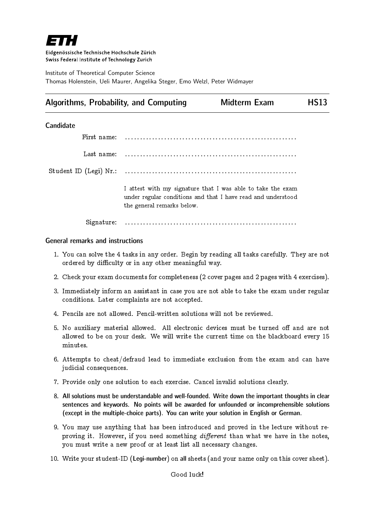

Eidgenössische Technische Hochschule Zürich Swiss Federal Institute of Technology Zurich

Institute of Theoretical Computer Science Thomas Holenstein, Ueli Maurer, Angelika Steger, Emo Welzl, Peter Widmayer

# Algorithms, Probability, and Computing Midterm Exam HS13

## **Candidate**

| First name: |                                                                                                                                                           |
|-------------|-----------------------------------------------------------------------------------------------------------------------------------------------------------|
| Last name:  |                                                                                                                                                           |
|             |                                                                                                                                                           |
|             | I attest with my signature that I was able to take the exam<br>under regular conditions and that I have read and understood<br>the general remarks below. |
| Signature:  |                                                                                                                                                           |

### General remarks and instructions

- 1. You can solve the 4 tasks in any order. Begin by reading all tasks carefully. They are not ordered by difficulty or in any other meaningful way.
- 2. Check your exam documents for completeness (2 cover pages and 2 pages with 4 exercises).
- 3. Immediately inform an assistant in case you are not able to take the exam under regular conditions. Later complaints are not accepted.
- 4. Pencils are not allowed. Pencil-written solutions will not be reviewed.
- 5. No auxiliary material allowed. All electronic devices must be turned off and are not allowed to be on your desk. We will write the current time on the blackboard every 15 minutes.
- 6. Attempts to cheat/defraud lead to immediate exclusion from the exam and can have judicial consequences.
- 7. Provide only one solution to each exercise. Cancel invalid solutions clearly.
- 8. All solutions must be understandable and well-founded. Write down the important thoughts in clear sentences and keywords. No points will be awarded for unfounded or incomprehensible solutions (except in the multiple-choice parts). You can write your solution in English or German.
- 9. You may use anything that has been introduced and proved in the lecture without reproving it. However, if you need something  $differential$  than what we have in the notes, you must write a new proof or at least list all necessary changes.
- 10. Write your student-ID (Legi-number) on all sheets (and your name only on this cover sheet).

Good luck!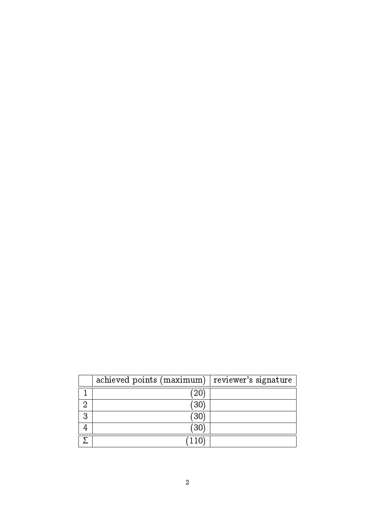|   | achieved points (maximum) | reviewer's signature |
|---|---------------------------|----------------------|
|   | 20                        |                      |
| റ | 30                        |                      |
| 3 | 30                        |                      |
| 4 | 30                        |                      |
|   | 110                       |                      |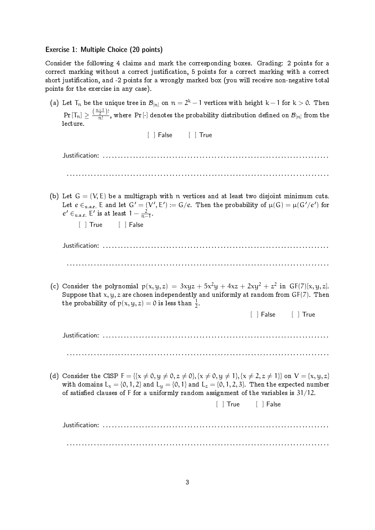### Exercise 1: Multiple Choice (20 points)

Consider the following 4 claims and mark the corresponding boxes. Grading: 2 points for a correct marking without a correct justification, 5 points for a correct marking with a correct short justication, and -2 points for a wrongly marked box (you will receive non-negative total points for the exercise in any case).

(a) Let  $\mathsf{T}_\mathfrak{n}$  be the unique tree in  ${\mathcal B}_{[\mathfrak{n}]}$  on  $\mathfrak{n}=2^{\textsf{k}}-1$  vertices with height  $\textsf{k}-1$  for  $\textsf{k}>0.$  Then  $\Pr{[{\mathsf T}_n]} \geq \frac{(\frac{n+1}{2})!}{n!}$  $\frac{2^{j-1}}{n!}$ , where Pr[·] denotes the probability distribution defined on  $\mathcal{B}_{[n]}$  from the lecture.

[ ] False [ ] True Justification: . . . . . . . . . . . . . . . . . . . . . . . . . . . . . . . . . . . . . . . . . . . . . . . . . . . . . . . . . . . . . . . . . . . . . . . . . . . . . . . . . . . . . . . . . . . . . . . . . . . . . . . . . . . . . . . . . . . . . . . . . . . . . . . . . . . . . . . . . . . . . . . . . . . . . . . . . . . . . . . . . . (b) Let  $G = (V, E)$  be a multigraph with n vertices and at least two disjoint minimum cuts. Let  $e\in_{\text{u.a.r.}}\mathsf{E}$  and let  $\mathsf{G}'=(\mathsf{V}',\mathsf{E}'):=\mathsf{G}/e.$  Then the probability of  $\mu(\mathsf{G})=\mu(\mathsf{G}'/e')$  for  $e' \in$ <sub>u.a.r.</sub> E' is at least  $1 - \frac{2}{n-1}$  $\frac{2}{n-1}$ . [ ] True [ ] False Justification: . . . . . . . . . . . . . . . . . . . . . . . . . . . . . . . . . . . . . . . . . . . . . . . . . . . . . . . . . . . . . . . . . . . . . . . . . . . . . . . . . . . . . . . . . . . . . . . . . . . . . . . . . . . . . . . . . . . . . . . . . . . . . . . . . . . . . . . . . . . . . . . . . . . . . . . . . . . . . . . . . . (c) Consider the polynomial  $p(x, y, z) = 3xyz + 5x^2y + 4xz + 2xy^2 + z^2$  in  $GF(7)[x, y, z]$ . Suppose that  $x, y, z$  are chosen independently and uniformly at random from  $GF(7)$ . Then the probability of  $p(x, y, z) = 0$  is less than  $\frac{1}{2}$ . [ ] False [ ] True Justification: . . . . . . . . . . . . . . . . . . . . . . . . . . . . . . . . . . . . . . . . . . . . . . . . . . . . . . . . . . . . . . . . . . . . . . . . . . . . . . . . . . . . . . . . . . . . . . . . . . . . . . . . . . . . . . . . . . . . . . . . . . . . . . . . . . . . . . . . . . . . . . . . . . . . . . . . . . . . . . . . . . (d) Consider the CISP  $F = \{ \{x \neq 0, y \neq 0, z \neq 0 \}, \{x \neq 0, y \neq 1\}, \{x \neq 2, z \neq 1\} \}$  on  $V = \{x, y, z\}$ with domains  $L_x = \{0, 1, 2\}$  and  $L_y = \{0, 1\}$  and  $L_z = \{0, 1, 2, 3\}$ . Then the expected number of satisfied clauses of F for a uniformly random assignment of the variables is  $31/12$ . [ ] True [ ] False

Justification: . . . . . . . . . . . . . . . . . . . . . . . . . . . . . . . . . . . . . . . . . . . . . . . . . . . . . . . . . . . . . . . . . . . . . . . . . . . . . . . . . . . . . . . . . . . . . . . . . . . . . . . . . . . . . . . . . . . . . . . . . . . . . . . . . . . . . . . . . . . . . . . . . . . . . . . . . . . . . . . . . .